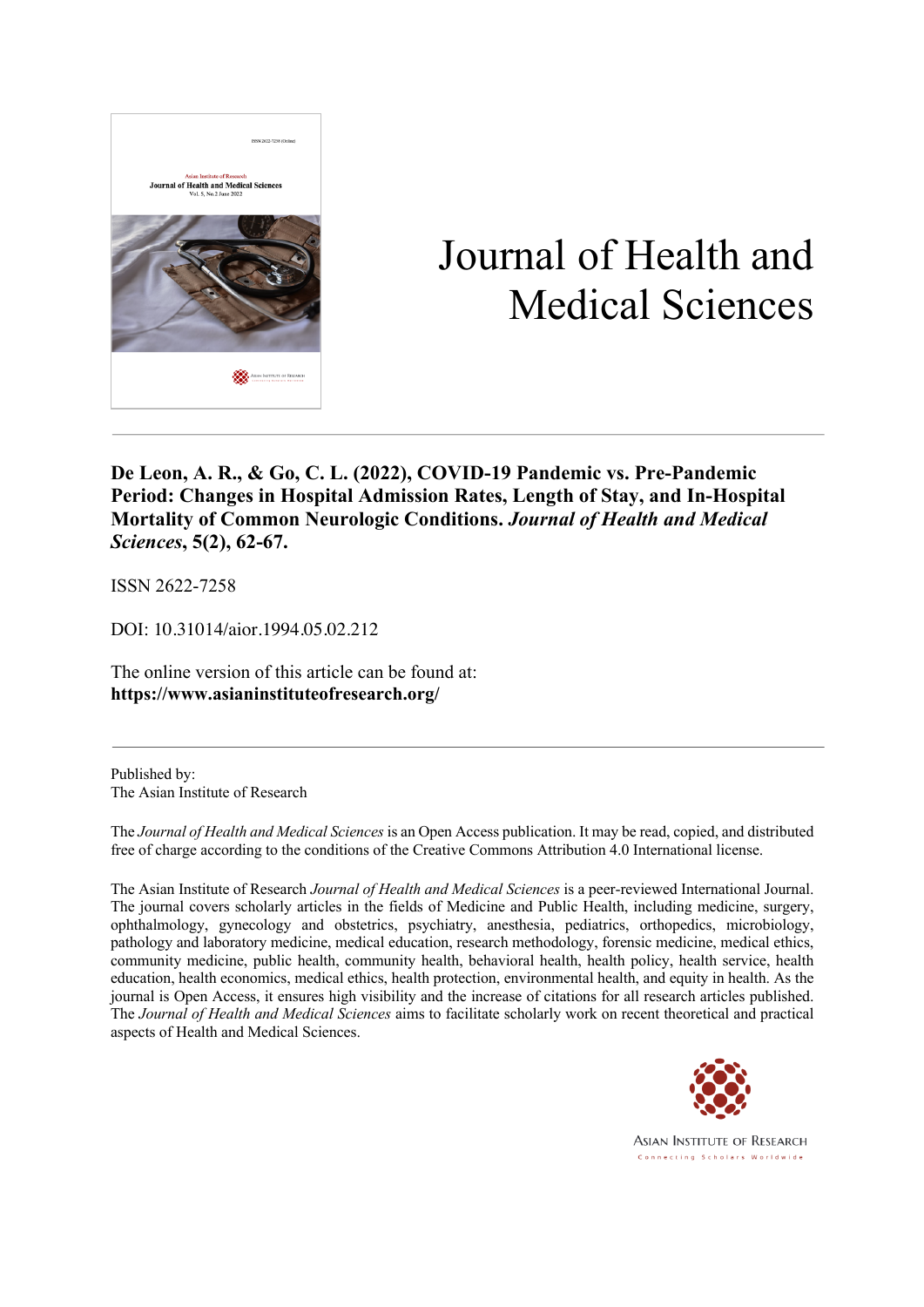

# Journal of Health and Medical Sciences

**De Leon, A. R., & Go, C. L. (2022), COVID-19 Pandemic vs. Pre-Pandemic Period: Changes in Hospital Admission Rates, Length of Stay, and In-Hospital Mortality of Common Neurologic Conditions.** *Journal of Health and Medical Sciences***, 5(2), 62-67.**

ISSN 2622-7258

DOI: 10.31014/aior.1994.05.02.212

The online version of this article can be found at: **https://www.asianinstituteofresearch.org/**

Published by: The Asian Institute of Research

The *Journal of Health and Medical Sciences* is an Open Access publication. It may be read, copied, and distributed free of charge according to the conditions of the Creative Commons Attribution 4.0 International license.

The Asian Institute of Research *Journal of Health and Medical Sciences* is a peer-reviewed International Journal. The journal covers scholarly articles in the fields of Medicine and Public Health, including medicine, surgery, ophthalmology, gynecology and obstetrics, psychiatry, anesthesia, pediatrics, orthopedics, microbiology, pathology and laboratory medicine, medical education, research methodology, forensic medicine, medical ethics, community medicine, public health, community health, behavioral health, health policy, health service, health education, health economics, medical ethics, health protection, environmental health, and equity in health. As the journal is Open Access, it ensures high visibility and the increase of citations for all research articles published. The *Journal of Health and Medical Sciences* aims to facilitate scholarly work on recent theoretical and practical aspects of Health and Medical Sciences.



**ASIAN INSTITUTE OF RESEARCH** Connecting Scholars Worldwide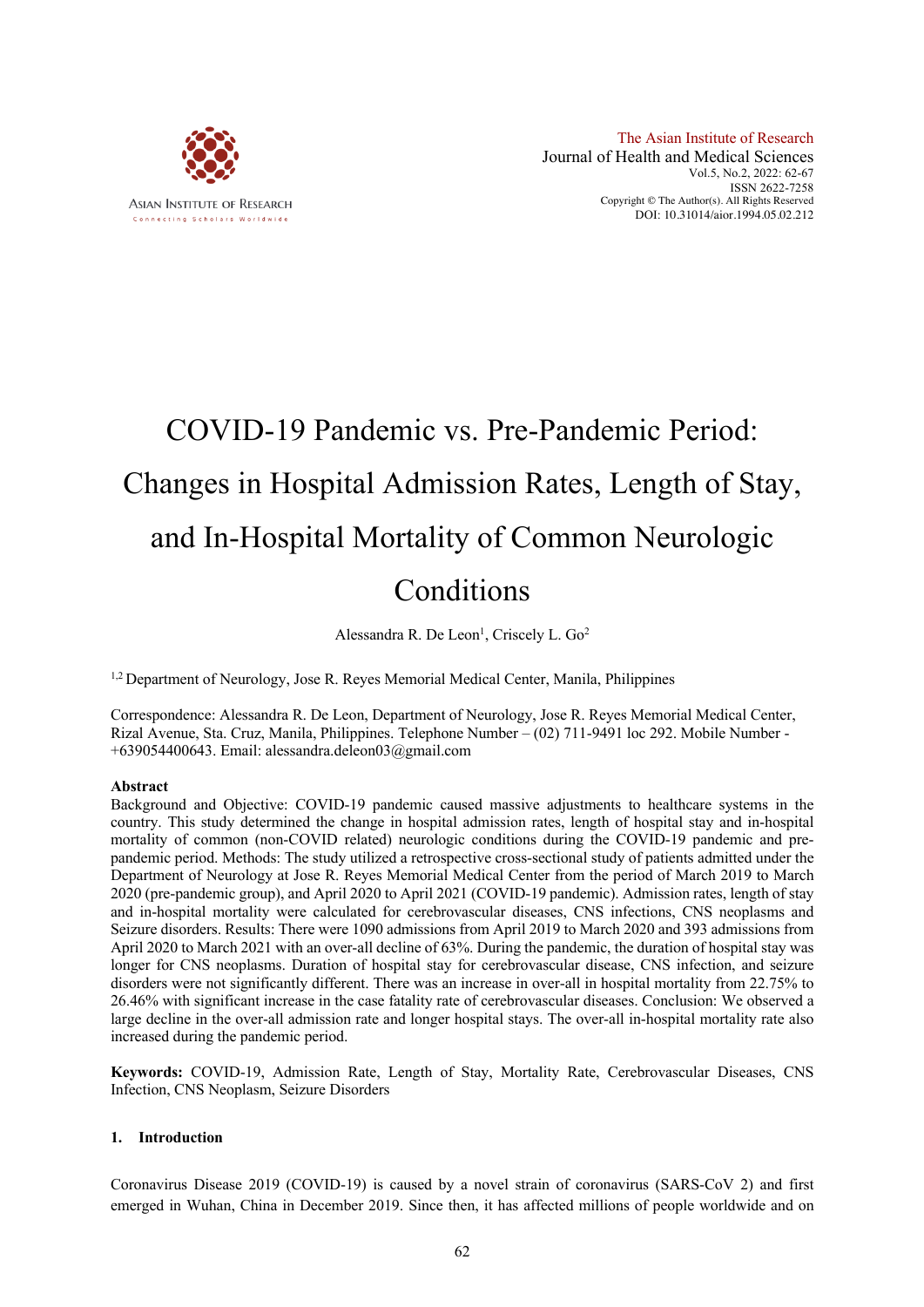

# COVID-19 Pandemic vs. Pre-Pandemic Period: Changes in Hospital Admission Rates, Length of Stay, and In-Hospital Mortality of Common Neurologic Conditions

Alessandra R. De Leon<sup>1</sup>, Criscely L. Go<sup>2</sup>

<sup>1,2</sup> Department of Neurology, Jose R. Reyes Memorial Medical Center, Manila, Philippines

Correspondence: Alessandra R. De Leon, Department of Neurology, Jose R. Reyes Memorial Medical Center, Rizal Avenue, Sta. Cruz, Manila, Philippines. Telephone Number – (02) 711-9491 loc 292. Mobile Number - +639054400643. Email: alessandra.deleon03@gmail.com

# **Abstract**

Background and Objective: COVID-19 pandemic caused massive adjustments to healthcare systems in the country. This study determined the change in hospital admission rates, length of hospital stay and in-hospital mortality of common (non-COVID related) neurologic conditions during the COVID-19 pandemic and prepandemic period. Methods: The study utilized a retrospective cross-sectional study of patients admitted under the Department of Neurology at Jose R. Reyes Memorial Medical Center from the period of March 2019 to March 2020 (pre-pandemic group), and April 2020 to April 2021 (COVID-19 pandemic). Admission rates, length of stay and in-hospital mortality were calculated for cerebrovascular diseases, CNS infections, CNS neoplasms and Seizure disorders. Results: There were 1090 admissions from April 2019 to March 2020 and 393 admissions from April 2020 to March 2021 with an over-all decline of 63%. During the pandemic, the duration of hospital stay was longer for CNS neoplasms. Duration of hospital stay for cerebrovascular disease, CNS infection, and seizure disorders were not significantly different. There was an increase in over-all in hospital mortality from 22.75% to 26.46% with significant increase in the case fatality rate of cerebrovascular diseases. Conclusion: We observed a large decline in the over-all admission rate and longer hospital stays. The over-all in-hospital mortality rate also increased during the pandemic period.

**Keywords:** COVID-19, Admission Rate, Length of Stay, Mortality Rate, Cerebrovascular Diseases, CNS Infection, CNS Neoplasm, Seizure Disorders

# **1. Introduction**

Coronavirus Disease 2019 (COVID-19) is caused by a novel strain of coronavirus (SARS-CoV 2) and first emerged in Wuhan, China in December 2019. Since then, it has affected millions of people worldwide and on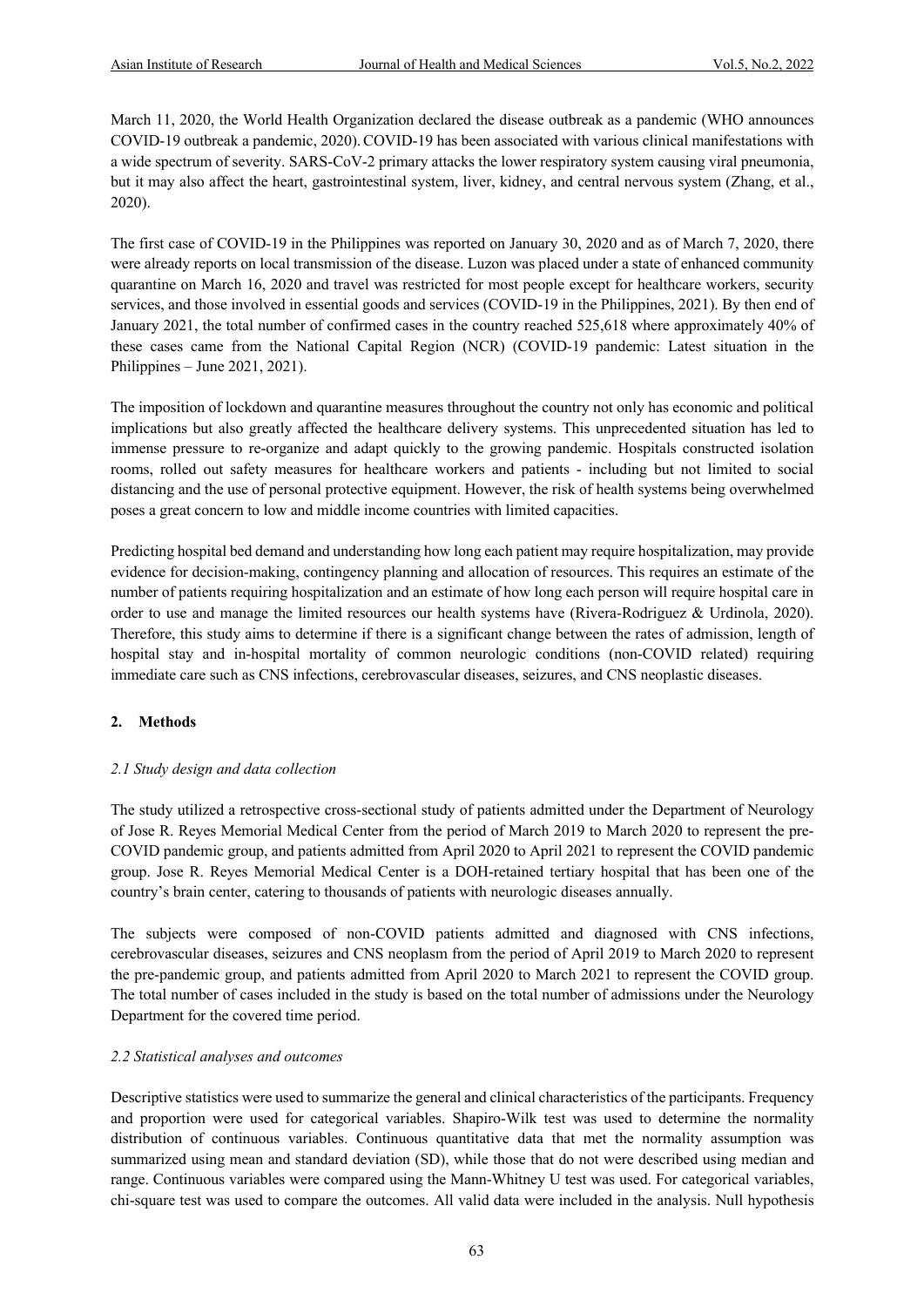March 11, 2020, the World Health Organization declared the disease outbreak as a pandemic (WHO announces COVID-19 outbreak a pandemic, 2020).COVID-19 has been associated with various clinical manifestations with a wide spectrum of severity. SARS-CoV-2 primary attacks the lower respiratory system causing viral pneumonia, but it may also affect the heart, gastrointestinal system, liver, kidney, and central nervous system (Zhang, et al., 2020).

The first case of COVID-19 in the Philippines was reported on January 30, 2020 and as of March 7, 2020, there were already reports on local transmission of the disease. Luzon was placed under a state of enhanced community quarantine on March 16, 2020 and travel was restricted for most people except for healthcare workers, security services, and those involved in essential goods and services (COVID-19 in the Philippines, 2021). By then end of January 2021, the total number of confirmed cases in the country reached 525,618 where approximately 40% of these cases came from the National Capital Region (NCR) (COVID-19 pandemic: Latest situation in the Philippines – June 2021, 2021).

The imposition of lockdown and quarantine measures throughout the country not only has economic and political implications but also greatly affected the healthcare delivery systems. This unprecedented situation has led to immense pressure to re-organize and adapt quickly to the growing pandemic. Hospitals constructed isolation rooms, rolled out safety measures for healthcare workers and patients - including but not limited to social distancing and the use of personal protective equipment. However, the risk of health systems being overwhelmed poses a great concern to low and middle income countries with limited capacities.

Predicting hospital bed demand and understanding how long each patient may require hospitalization, may provide evidence for decision-making, contingency planning and allocation of resources. This requires an estimate of the number of patients requiring hospitalization and an estimate of how long each person will require hospital care in order to use and manage the limited resources our health systems have (Rivera-Rodriguez & Urdinola, 2020). Therefore, this study aims to determine if there is a significant change between the rates of admission, length of hospital stay and in-hospital mortality of common neurologic conditions (non-COVID related) requiring immediate care such as CNS infections, cerebrovascular diseases, seizures, and CNS neoplastic diseases.

# **2. Methods**

# *2.1 Study design and data collection*

The study utilized a retrospective cross-sectional study of patients admitted under the Department of Neurology of Jose R. Reyes Memorial Medical Center from the period of March 2019 to March 2020 to represent the pre-COVID pandemic group, and patients admitted from April 2020 to April 2021 to represent the COVID pandemic group. Jose R. Reyes Memorial Medical Center is a DOH-retained tertiary hospital that has been one of the country's brain center, catering to thousands of patients with neurologic diseases annually.

The subjects were composed of non-COVID patients admitted and diagnosed with CNS infections, cerebrovascular diseases, seizures and CNS neoplasm from the period of April 2019 to March 2020 to represent the pre-pandemic group, and patients admitted from April 2020 to March 2021 to represent the COVID group. The total number of cases included in the study is based on the total number of admissions under the Neurology Department for the covered time period.

# *2.2 Statistical analyses and outcomes*

Descriptive statistics were used to summarize the general and clinical characteristics of the participants. Frequency and proportion were used for categorical variables. Shapiro-Wilk test was used to determine the normality distribution of continuous variables. Continuous quantitative data that met the normality assumption was summarized using mean and standard deviation (SD), while those that do not were described using median and range. Continuous variables were compared using the Mann-Whitney U test was used. For categorical variables, chi-square test was used to compare the outcomes. All valid data were included in the analysis. Null hypothesis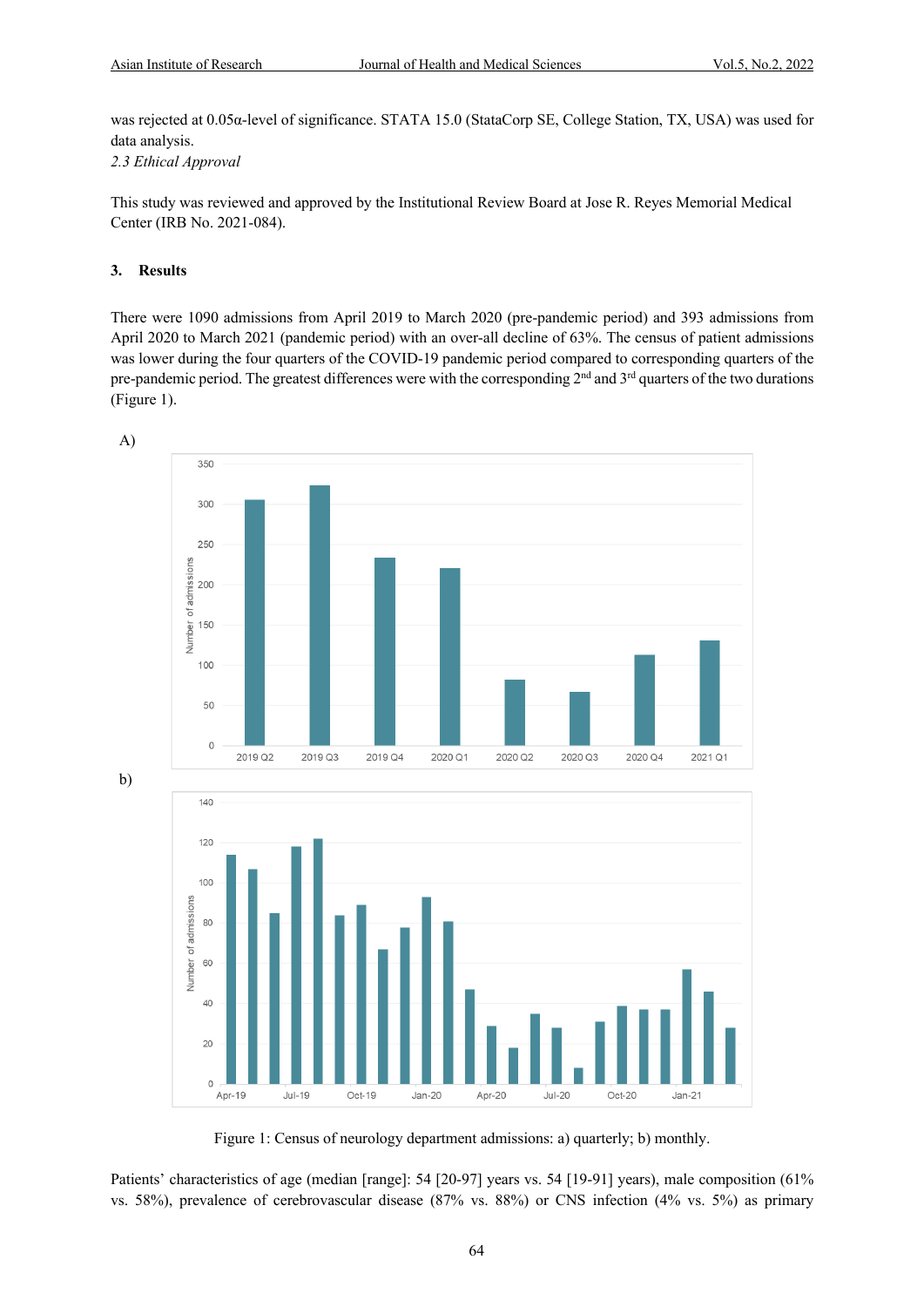was rejected at 0.05α-level of significance. STATA 15.0 (StataCorp SE, College Station, TX, USA) was used for data analysis.

*2.3 Ethical Approval*

This study was reviewed and approved by the Institutional Review Board at Jose R. Reyes Memorial Medical Center (IRB No. 2021-084).

# **3. Results**

There were 1090 admissions from April 2019 to March 2020 (pre-pandemic period) and 393 admissions from April 2020 to March 2021 (pandemic period) with an over-all decline of 63%. The census of patient admissions was lower during the four quarters of the COVID-19 pandemic period compared to corresponding quarters of the pre-pandemic period. The greatest differences were with the corresponding  $2<sup>nd</sup>$  and  $3<sup>rd</sup>$  quarters of the two durations (Figure 1).



Figure 1: Census of neurology department admissions: a) quarterly; b) monthly.

Patients' characteristics of age (median [range]: 54 [20-97] years vs. 54 [19-91] years), male composition (61% vs. 58%), prevalence of cerebrovascular disease (87% vs. 88%) or CNS infection (4% vs. 5%) as primary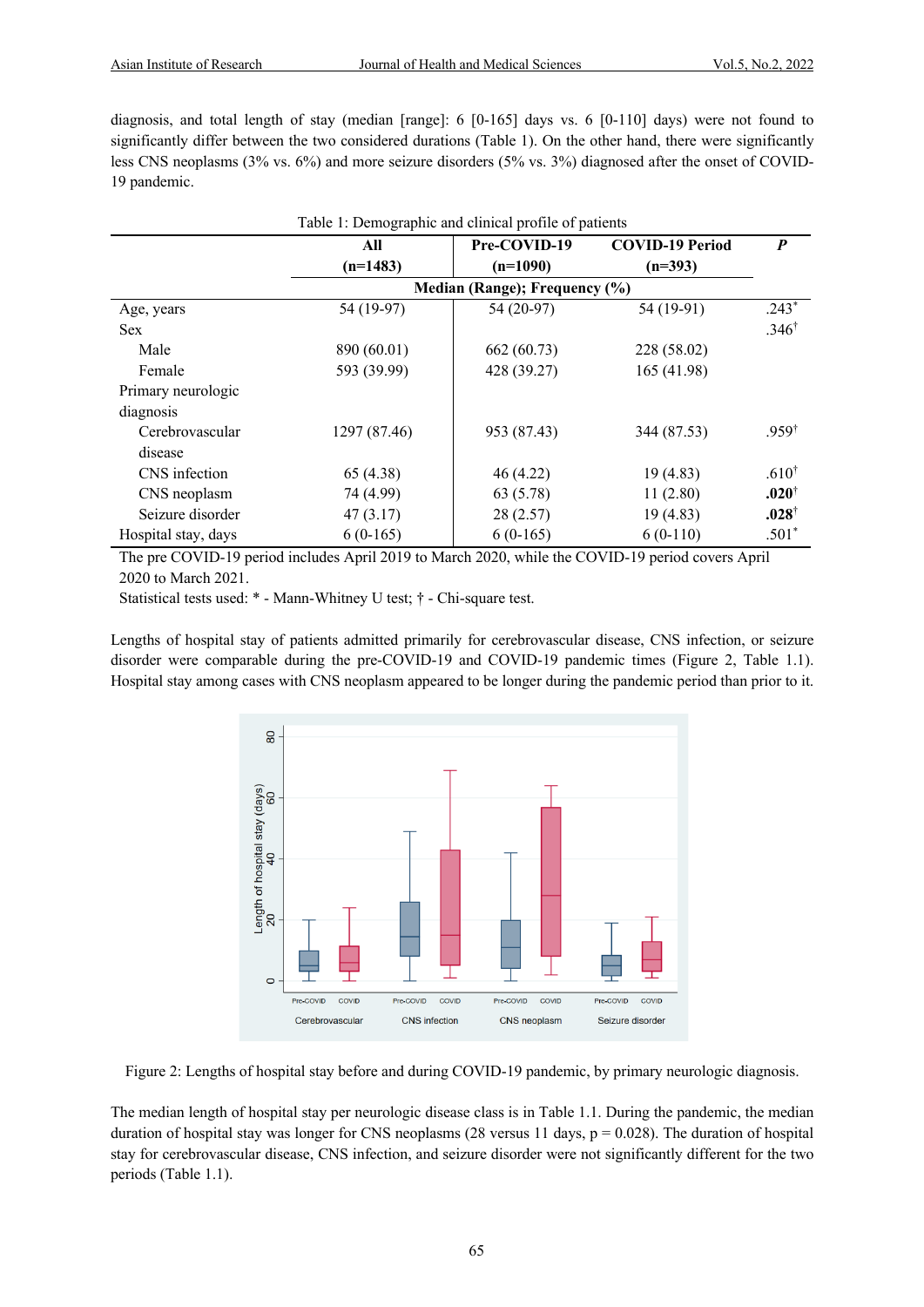diagnosis, and total length of stay (median [range]: 6 [0-165] days vs. 6 [0-110] days) were not found to significantly differ between the two considered durations (Table 1). On the other hand, there were significantly less CNS neoplasms (3% vs. 6%) and more seizure disorders (5% vs. 3%) diagnosed after the onset of COVID-19 pandemic.

| Table 1: Demographic and clinical profile of patients |                               |              |                        |                   |  |  |  |
|-------------------------------------------------------|-------------------------------|--------------|------------------------|-------------------|--|--|--|
|                                                       | All                           | Pre-COVID-19 | <b>COVID-19 Period</b> | $\boldsymbol{P}$  |  |  |  |
|                                                       | $(n=1483)$                    | $(n=1090)$   | $(n=393)$              |                   |  |  |  |
|                                                       | Median (Range); Frequency (%) |              |                        |                   |  |  |  |
| Age, years                                            | 54 (19-97)                    | 54 (20-97)   | 54 (19-91)             | $.243*$           |  |  |  |
| <b>Sex</b>                                            |                               |              |                        | $.346^{\dagger}$  |  |  |  |
| Male                                                  | 890 (60.01)                   | 662 (60.73)  | 228 (58.02)            |                   |  |  |  |
| Female                                                | 593 (39.99)                   | 428 (39.27)  | 165 (41.98)            |                   |  |  |  |
| Primary neurologic                                    |                               |              |                        |                   |  |  |  |
| diagnosis                                             |                               |              |                        |                   |  |  |  |
| Cerebrovascular                                       | 1297 (87.46)                  | 953 (87.43)  | 344 (87.53)            | $.959^{\dagger}$  |  |  |  |
| disease                                               |                               |              |                        |                   |  |  |  |
| CNS infection                                         | 65 (4.38)                     | 46(4.22)     | 19(4.83)               | .610 <sup>†</sup> |  |  |  |
| CNS neoplasm                                          | 74 (4.99)                     | 63 (5.78)    | 11(2.80)               | $.020^{\dagger}$  |  |  |  |
| Seizure disorder                                      | 47(3.17)                      | 28(2.57)     | 19(4.83)               | $.028^{\dagger}$  |  |  |  |
| Hospital stay, days                                   | $6(0-165)$                    | $6(0-165)$   | $6(0-110)$             | $.501*$           |  |  |  |

The pre COVID-19 period includes April 2019 to March 2020, while the COVID-19 period covers April 2020 to March 2021.

Statistical tests used: \* - Mann-Whitney U test; † - Chi-square test.

Lengths of hospital stay of patients admitted primarily for cerebrovascular disease, CNS infection, or seizure disorder were comparable during the pre-COVID-19 and COVID-19 pandemic times (Figure 2, Table 1.1). Hospital stay among cases with CNS neoplasm appeared to be longer during the pandemic period than prior to it.



Figure 2: Lengths of hospital stay before and during COVID-19 pandemic, by primary neurologic diagnosis.

The median length of hospital stay per neurologic disease class is in Table 1.1. During the pandemic, the median duration of hospital stay was longer for CNS neoplasms (28 versus 11 days,  $p = 0.028$ ). The duration of hospital stay for cerebrovascular disease, CNS infection, and seizure disorder were not significantly different for the two periods (Table 1.1).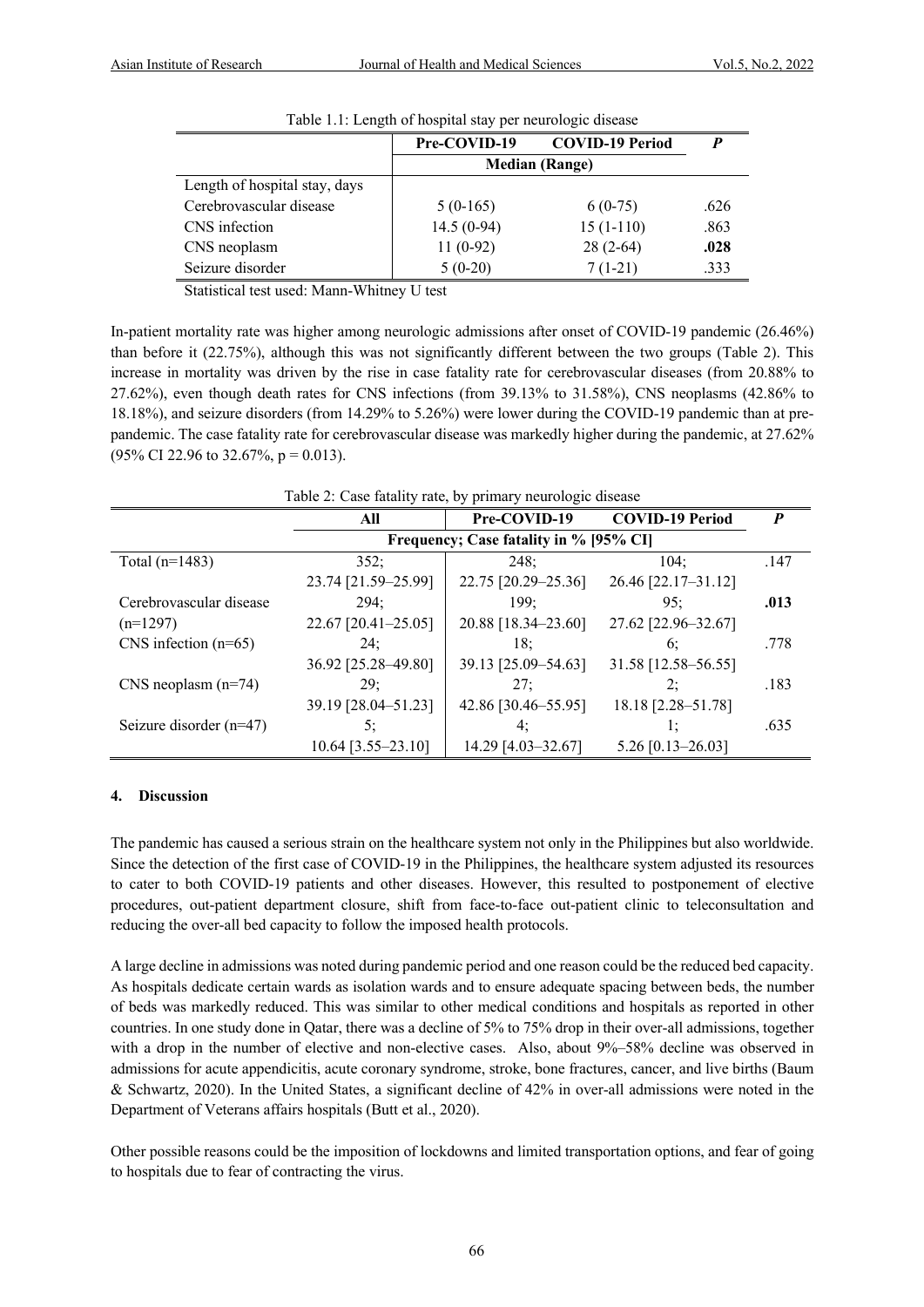| Table 1.1. Length of hospital stay per heurologic disease |                       |                        |      |  |  |  |  |
|-----------------------------------------------------------|-----------------------|------------------------|------|--|--|--|--|
|                                                           | Pre-COVID-19          | <b>COVID-19 Period</b> |      |  |  |  |  |
|                                                           | <b>Median (Range)</b> |                        |      |  |  |  |  |
| Length of hospital stay, days                             |                       |                        |      |  |  |  |  |
| Cerebrovascular disease                                   | $5(0-165)$            | $6(0-75)$              | .626 |  |  |  |  |
| CNS infection                                             | $14.5(0-94)$          | $15(1-110)$            | .863 |  |  |  |  |
| CNS neoplasm                                              | $11(0-92)$            | $28(2-64)$             | .028 |  |  |  |  |
| Seizure disorder                                          | $5(0-20)$             | $7(1-21)$              | .333 |  |  |  |  |

Table 1.1: Length of hospital stay per neurologic disease

Statistical test used: Mann-Whitney U test

In-patient mortality rate was higher among neurologic admissions after onset of COVID-19 pandemic (26.46%) than before it (22.75%), although this was not significantly different between the two groups (Table 2). This increase in mortality was driven by the rise in case fatality rate for cerebrovascular diseases (from 20.88% to 27.62%), even though death rates for CNS infections (from 39.13% to 31.58%), CNS neoplasms (42.86% to 18.18%), and seizure disorders (from 14.29% to 5.26%) were lower during the COVID-19 pandemic than at prepandemic. The case fatality rate for cerebrovascular disease was markedly higher during the pandemic, at 27.62%  $(95\% \text{ CI } 22.96 \text{ to } 32.67\%, \text{ p} = 0.013).$ 

| Table 2: Case fatality rate, by primary neurologic disease |                                        |                     |                        |      |  |  |
|------------------------------------------------------------|----------------------------------------|---------------------|------------------------|------|--|--|
|                                                            | All                                    | Pre-COVID-19        | <b>COVID-19 Period</b> | P    |  |  |
|                                                            | Frequency; Case fatality in % [95% CI] |                     |                        |      |  |  |
| Total $(n=1483)$                                           | 352:                                   | 248:                | 104:                   | .147 |  |  |
|                                                            | 23.74 [21.59-25.99]                    | 22.75 [20.29-25.36] | 26.46 [22.17-31.12]    |      |  |  |
| Cerebrovascular disease                                    | 294:                                   | 199:                | 95:                    | .013 |  |  |
| $(n=1297)$                                                 | $22.67$ [20.41-25.05]                  | 20.88 [18.34-23.60] | 27.62 [22.96-32.67]    |      |  |  |
| CNS infection $(n=65)$                                     | 24:                                    | 18:                 | 6:                     | .778 |  |  |
|                                                            | 36.92 [25.28–49.80]                    | 39.13 [25.09-54.63] | 31.58 [12.58-56.55]    |      |  |  |
| CNS neoplasm $(n=74)$                                      | 29:                                    | 27:                 | 2:                     | .183 |  |  |
|                                                            | 39.19 [28.04-51.23]                    | 42.86 [30.46-55.95] | 18.18 [2.28-51.78]     |      |  |  |
| Seizure disorder $(n=47)$                                  | 5:                                     | 4:                  | l;                     | .635 |  |  |
|                                                            | $10.64$ [3.55-23.10]                   | 14.29 [4.03-32.67]  | $5.26$ [0.13-26.03]    |      |  |  |

# Table 2: Case fatality rate, by primary neurologic disease

# **4. Discussion**

The pandemic has caused a serious strain on the healthcare system not only in the Philippines but also worldwide. Since the detection of the first case of COVID-19 in the Philippines, the healthcare system adjusted its resources to cater to both COVID-19 patients and other diseases. However, this resulted to postponement of elective procedures, out-patient department closure, shift from face-to-face out-patient clinic to teleconsultation and reducing the over-all bed capacity to follow the imposed health protocols.

A large decline in admissions was noted during pandemic period and one reason could be the reduced bed capacity. As hospitals dedicate certain wards as isolation wards and to ensure adequate spacing between beds, the number of beds was markedly reduced. This was similar to other medical conditions and hospitals as reported in other countries. In one study done in Qatar, there was a decline of 5% to 75% drop in their over-all admissions, together with a drop in the number of elective and non-elective cases. Also, about 9%–58% decline was observed in admissions for acute appendicitis, acute coronary syndrome, stroke, bone fractures, cancer, and live births (Baum & Schwartz, 2020). In the United States, a significant decline of 42% in over-all admissions were noted in the Department of Veterans affairs hospitals (Butt et al., 2020).

Other possible reasons could be the imposition of lockdowns and limited transportation options, and fear of going to hospitals due to fear of contracting the virus.